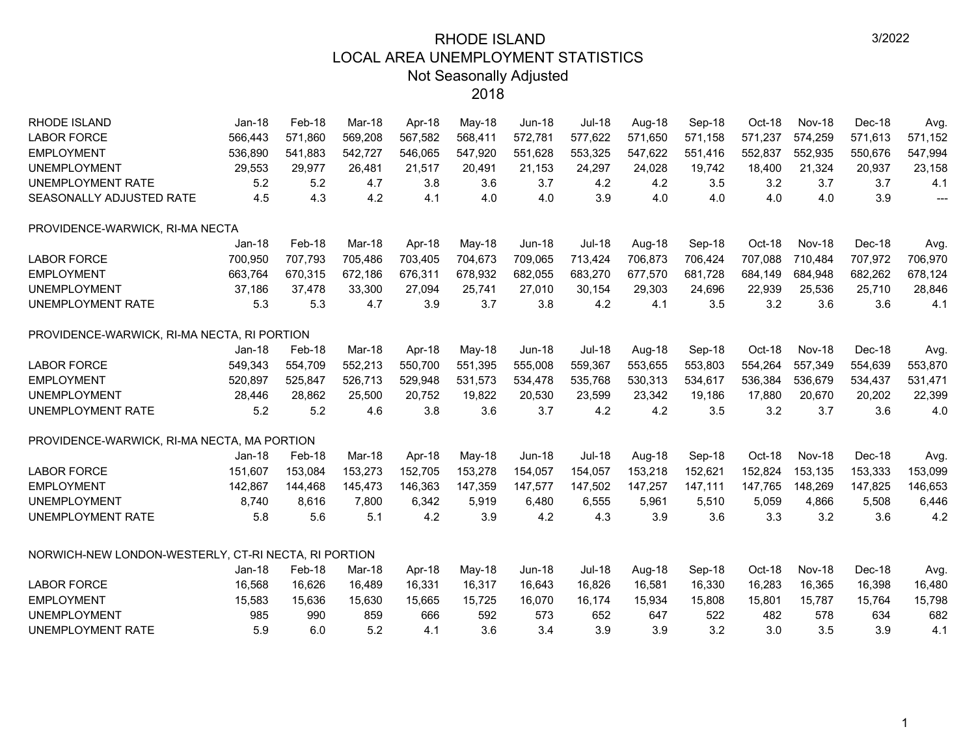| <b>RHODE ISLAND</b>                                  | $Jan-18$ | Feb-18  | Mar-18  | Apr-18  | May-18  | <b>Jun-18</b> | <b>Jul-18</b> | Aug-18  | Sep-18  | Oct-18  | Nov-18        | Dec-18  | Avg.           |
|------------------------------------------------------|----------|---------|---------|---------|---------|---------------|---------------|---------|---------|---------|---------------|---------|----------------|
| <b>LABOR FORCE</b>                                   | 566,443  | 571.860 | 569,208 | 567,582 | 568,411 | 572,781       | 577,622       | 571,650 | 571,158 | 571,237 | 574,259       | 571,613 | 571,152        |
| <b>EMPLOYMENT</b>                                    | 536,890  | 541,883 | 542,727 | 546,065 | 547,920 | 551,628       | 553,325       | 547,622 | 551,416 | 552,837 | 552,935       | 550,676 | 547,994        |
| <b>UNEMPLOYMENT</b>                                  | 29,553   | 29,977  | 26,481  | 21,517  | 20,491  | 21,153        | 24,297        | 24,028  | 19,742  | 18,400  | 21,324        | 20,937  | 23,158         |
| UNEMPLOYMENT RATE                                    | 5.2      | 5.2     | 4.7     | 3.8     | 3.6     | 3.7           | 4.2           | 4.2     | 3.5     | 3.2     | 3.7           | 3.7     | 4.1            |
| SEASONALLY ADJUSTED RATE                             | 4.5      | 4.3     | 4.2     | 4.1     | 4.0     | 4.0           | 3.9           | 4.0     | 4.0     | 4.0     | 4.0           | 3.9     | $\overline{a}$ |
| PROVIDENCE-WARWICK, RI-MA NECTA                      |          |         |         |         |         |               |               |         |         |         |               |         |                |
|                                                      | Jan-18   | Feb-18  | Mar-18  | Apr-18  | May-18  | <b>Jun-18</b> | <b>Jul-18</b> | Aug-18  | Sep-18  | Oct-18  | <b>Nov-18</b> | Dec-18  | Avg.           |
| <b>LABOR FORCE</b>                                   | 700,950  | 707,793 | 705,486 | 703,405 | 704,673 | 709,065       | 713,424       | 706,873 | 706,424 | 707,088 | 710,484       | 707,972 | 706,970        |
| <b>EMPLOYMENT</b>                                    | 663,764  | 670,315 | 672,186 | 676,311 | 678,932 | 682,055       | 683,270       | 677,570 | 681,728 | 684,149 | 684,948       | 682,262 | 678,124        |
| <b>UNEMPLOYMENT</b>                                  | 37,186   | 37,478  | 33,300  | 27,094  | 25,741  | 27,010        | 30,154        | 29,303  | 24,696  | 22,939  | 25,536        | 25,710  | 28,846         |
| <b>UNEMPLOYMENT RATE</b>                             | 5.3      | 5.3     | 4.7     | 3.9     | 3.7     | 3.8           | 4.2           | 4.1     | 3.5     | 3.2     | 3.6           | 3.6     | 4.1            |
| PROVIDENCE-WARWICK, RI-MA NECTA, RI PORTION          |          |         |         |         |         |               |               |         |         |         |               |         |                |
|                                                      | $Jan-18$ | Feb-18  | Mar-18  | Apr-18  | May-18  | $Jun-18$      | <b>Jul-18</b> | Aug-18  | Sep-18  | Oct-18  | <b>Nov-18</b> | Dec-18  | Avg.           |
| <b>LABOR FORCE</b>                                   | 549,343  | 554,709 | 552,213 | 550,700 | 551,395 | 555,008       | 559,367       | 553,655 | 553,803 | 554,264 | 557,349       | 554,639 | 553,870        |
| <b>EMPLOYMENT</b>                                    | 520,897  | 525,847 | 526,713 | 529,948 | 531,573 | 534,478       | 535,768       | 530,313 | 534,617 | 536,384 | 536,679       | 534,437 | 531,471        |
| <b>UNEMPLOYMENT</b>                                  | 28,446   | 28,862  | 25,500  | 20,752  | 19,822  | 20,530        | 23,599        | 23,342  | 19,186  | 17,880  | 20,670        | 20,202  | 22,399         |
| <b>UNEMPLOYMENT RATE</b>                             | 5.2      | 5.2     | 4.6     | 3.8     | 3.6     | 3.7           | 4.2           | 4.2     | 3.5     | 3.2     | 3.7           | 3.6     | 4.0            |
| PROVIDENCE-WARWICK, RI-MA NECTA, MA PORTION          |          |         |         |         |         |               |               |         |         |         |               |         |                |
|                                                      | $Jan-18$ | Feb-18  | Mar-18  | Apr-18  | May-18  | $Jun-18$      | <b>Jul-18</b> | Aug-18  | Sep-18  | Oct-18  | <b>Nov-18</b> | Dec-18  | Avg.           |
| <b>LABOR FORCE</b>                                   | 151,607  | 153,084 | 153,273 | 152,705 | 153,278 | 154,057       | 154,057       | 153,218 | 152,621 | 152,824 | 153,135       | 153,333 | 153,099        |
| <b>EMPLOYMENT</b>                                    | 142,867  | 144,468 | 145,473 | 146,363 | 147,359 | 147,577       | 147,502       | 147,257 | 147,111 | 147,765 | 148,269       | 147,825 | 146,653        |
| <b>UNEMPLOYMENT</b>                                  | 8,740    | 8,616   | 7,800   | 6,342   | 5,919   | 6,480         | 6,555         | 5,961   | 5,510   | 5,059   | 4,866         | 5,508   | 6,446          |
| UNEMPLOYMENT RATE                                    | 5.8      | 5.6     | 5.1     | 4.2     | 3.9     | 4.2           | 4.3           | 3.9     | 3.6     | 3.3     | 3.2           | 3.6     | 4.2            |
| NORWICH-NEW LONDON-WESTERLY, CT-RI NECTA, RI PORTION |          |         |         |         |         |               |               |         |         |         |               |         |                |
|                                                      | $Jan-18$ | Feb-18  | Mar-18  | Apr-18  | May-18  | $Jun-18$      | <b>Jul-18</b> | Aug-18  | Sep-18  | Oct-18  | <b>Nov-18</b> | Dec-18  | Avg.           |
| <b>LABOR FORCE</b>                                   | 16,568   | 16,626  | 16,489  | 16,331  | 16,317  | 16,643        | 16,826        | 16,581  | 16,330  | 16,283  | 16,365        | 16,398  | 16,480         |
| <b>EMPLOYMENT</b>                                    | 15,583   | 15,636  | 15,630  | 15,665  | 15,725  | 16,070        | 16,174        | 15,934  | 15,808  | 15,801  | 15,787        | 15,764  | 15,798         |
| <b>UNEMPLOYMENT</b>                                  | 985      | 990     | 859     | 666     | 592     | 573           | 652           | 647     | 522     | 482     | 578           | 634     | 682            |
| <b>UNEMPLOYMENT RATE</b>                             | 5.9      | 6.0     | 5.2     | 4.1     | 3.6     | 3.4           | 3.9           | 3.9     | 3.2     | 3.0     | 3.5           | 3.9     | 4.1            |
|                                                      |          |         |         |         |         |               |               |         |         |         |               |         |                |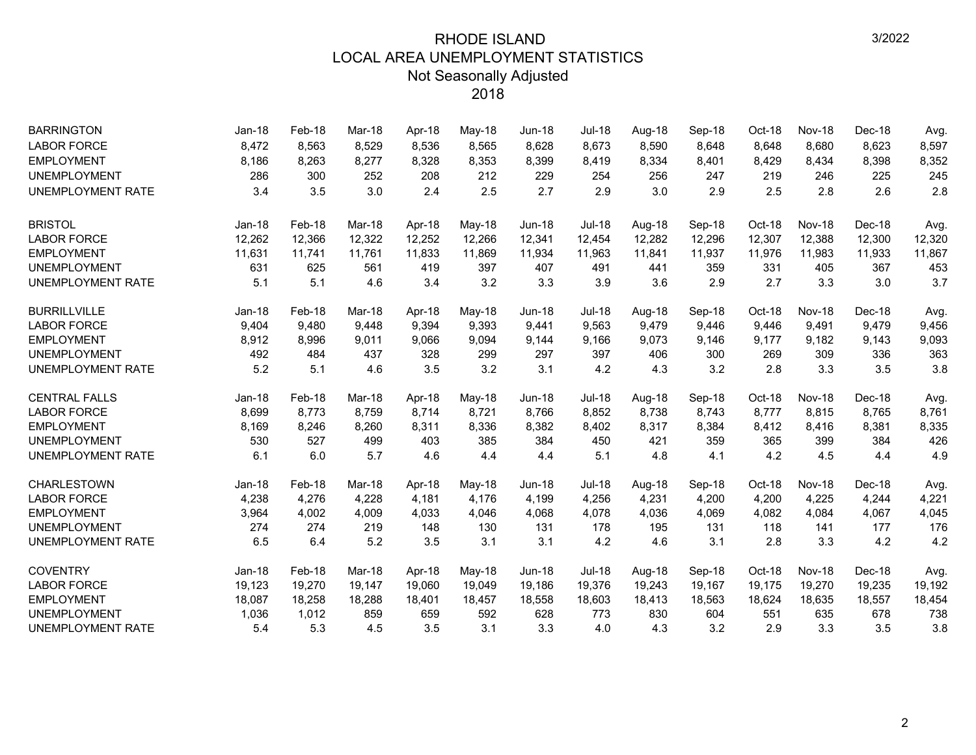| <b>BARRINGTON</b>        | <b>Jan-18</b> | Feb-18 | Mar-18 | Apr-18 | May-18 | <b>Jun-18</b> | <b>Jul-18</b> | Aug-18 | Sep-18 | Oct-18 | Nov-18        | Dec-18 | Avg.   |
|--------------------------|---------------|--------|--------|--------|--------|---------------|---------------|--------|--------|--------|---------------|--------|--------|
| <b>LABOR FORCE</b>       | 8,472         | 8,563  | 8,529  | 8,536  | 8,565  | 8,628         | 8,673         | 8,590  | 8,648  | 8,648  | 8,680         | 8,623  | 8,597  |
| <b>EMPLOYMENT</b>        | 8,186         | 8,263  | 8,277  | 8,328  | 8,353  | 8,399         | 8,419         | 8,334  | 8,401  | 8,429  | 8,434         | 8,398  | 8,352  |
| <b>UNEMPLOYMENT</b>      | 286           | 300    | 252    | 208    | 212    | 229           | 254           | 256    | 247    | 219    | 246           | 225    | 245    |
| <b>UNEMPLOYMENT RATE</b> | 3.4           | 3.5    | 3.0    | 2.4    | 2.5    | 2.7           | 2.9           | 3.0    | 2.9    | 2.5    | 2.8           | 2.6    | 2.8    |
| <b>BRISTOL</b>           | $Jan-18$      | Feb-18 | Mar-18 | Apr-18 | May-18 | <b>Jun-18</b> | <b>Jul-18</b> | Aug-18 | Sep-18 | Oct-18 | <b>Nov-18</b> | Dec-18 | Avg.   |
| <b>LABOR FORCE</b>       | 12,262        | 12,366 | 12,322 | 12,252 | 12,266 | 12,341        | 12,454        | 12,282 | 12,296 | 12,307 | 12,388        | 12,300 | 12,320 |
| <b>EMPLOYMENT</b>        | 11,631        | 11,741 | 11,761 | 11,833 | 11,869 | 11,934        | 11,963        | 11,841 | 11,937 | 11,976 | 11,983        | 11,933 | 11,867 |
| <b>UNEMPLOYMENT</b>      | 631           | 625    | 561    | 419    | 397    | 407           | 491           | 441    | 359    | 331    | 405           | 367    | 453    |
| <b>UNEMPLOYMENT RATE</b> | 5.1           | 5.1    | 4.6    | 3.4    | 3.2    | 3.3           | 3.9           | 3.6    | 2.9    | 2.7    | 3.3           | 3.0    | 3.7    |
| <b>BURRILLVILLE</b>      | $Jan-18$      | Feb-18 | Mar-18 | Apr-18 | May-18 | <b>Jun-18</b> | Jul-18        | Aug-18 | Sep-18 | Oct-18 | <b>Nov-18</b> | Dec-18 | Avg.   |
| <b>LABOR FORCE</b>       | 9,404         | 9,480  | 9,448  | 9,394  | 9,393  | 9,441         | 9,563         | 9,479  | 9,446  | 9,446  | 9,491         | 9,479  | 9,456  |
| <b>EMPLOYMENT</b>        | 8,912         | 8,996  | 9,011  | 9,066  | 9,094  | 9,144         | 9,166         | 9.073  | 9,146  | 9,177  | 9,182         | 9,143  | 9,093  |
| <b>UNEMPLOYMENT</b>      | 492           | 484    | 437    | 328    | 299    | 297           | 397           | 406    | 300    | 269    | 309           | 336    | 363    |
| <b>UNEMPLOYMENT RATE</b> | 5.2           | 5.1    | 4.6    | 3.5    | 3.2    | 3.1           | 4.2           | 4.3    | 3.2    | 2.8    | 3.3           | 3.5    | 3.8    |
| <b>CENTRAL FALLS</b>     | Jan-18        | Feb-18 | Mar-18 | Apr-18 | May-18 | <b>Jun-18</b> | <b>Jul-18</b> | Aug-18 | Sep-18 | Oct-18 | <b>Nov-18</b> | Dec-18 | Avg.   |
| <b>LABOR FORCE</b>       | 8,699         | 8,773  | 8,759  | 8.714  | 8,721  | 8,766         | 8,852         | 8,738  | 8,743  | 8,777  | 8,815         | 8,765  | 8,761  |
| <b>EMPLOYMENT</b>        | 8,169         | 8,246  | 8,260  | 8,311  | 8,336  | 8,382         | 8,402         | 8,317  | 8,384  | 8,412  | 8,416         | 8,381  | 8,335  |
| <b>UNEMPLOYMENT</b>      | 530           | 527    | 499    | 403    | 385    | 384           | 450           | 421    | 359    | 365    | 399           | 384    | 426    |
| <b>UNEMPLOYMENT RATE</b> | 6.1           | 6.0    | 5.7    | 4.6    | 4.4    | 4.4           | 5.1           | 4.8    | 4.1    | 4.2    | 4.5           | 4.4    | 4.9    |
| <b>CHARLESTOWN</b>       | $Jan-18$      | Feb-18 | Mar-18 | Apr-18 | May-18 | <b>Jun-18</b> | Jul-18        | Aug-18 | Sep-18 | Oct-18 | Nov-18        | Dec-18 | Avg.   |
| <b>LABOR FORCE</b>       | 4,238         | 4,276  | 4,228  | 4,181  | 4,176  | 4,199         | 4,256         | 4,231  | 4,200  | 4,200  | 4,225         | 4,244  | 4,221  |
| <b>EMPLOYMENT</b>        | 3,964         | 4,002  | 4,009  | 4,033  | 4,046  | 4,068         | 4,078         | 4,036  | 4,069  | 4,082  | 4,084         | 4,067  | 4,045  |
| <b>UNEMPLOYMENT</b>      | 274           | 274    | 219    | 148    | 130    | 131           | 178           | 195    | 131    | 118    | 141           | 177    | 176    |
| <b>UNEMPLOYMENT RATE</b> | 6.5           | 6.4    | 5.2    | 3.5    | 3.1    | 3.1           | 4.2           | 4.6    | 3.1    | 2.8    | 3.3           | 4.2    | 4.2    |
| <b>COVENTRY</b>          | $Jan-18$      | Feb-18 | Mar-18 | Apr-18 | May-18 | <b>Jun-18</b> | <b>Jul-18</b> | Aug-18 | Sep-18 | Oct-18 | <b>Nov-18</b> | Dec-18 | Avg.   |
| <b>LABOR FORCE</b>       | 19,123        | 19,270 | 19,147 | 19,060 | 19,049 | 19,186        | 19,376        | 19,243 | 19,167 | 19,175 | 19,270        | 19,235 | 19,192 |
| <b>EMPLOYMENT</b>        | 18,087        | 18,258 | 18,288 | 18,401 | 18,457 | 18,558        | 18,603        | 18,413 | 18,563 | 18,624 | 18,635        | 18,557 | 18,454 |
| <b>UNEMPLOYMENT</b>      | 1,036         | 1,012  | 859    | 659    | 592    | 628           | 773           | 830    | 604    | 551    | 635           | 678    | 738    |
| <b>UNEMPLOYMENT RATE</b> | 5.4           | 5.3    | 4.5    | 3.5    | 3.1    | 3.3           | 4.0           | 4.3    | 3.2    | 2.9    | 3.3           | 3.5    | 3.8    |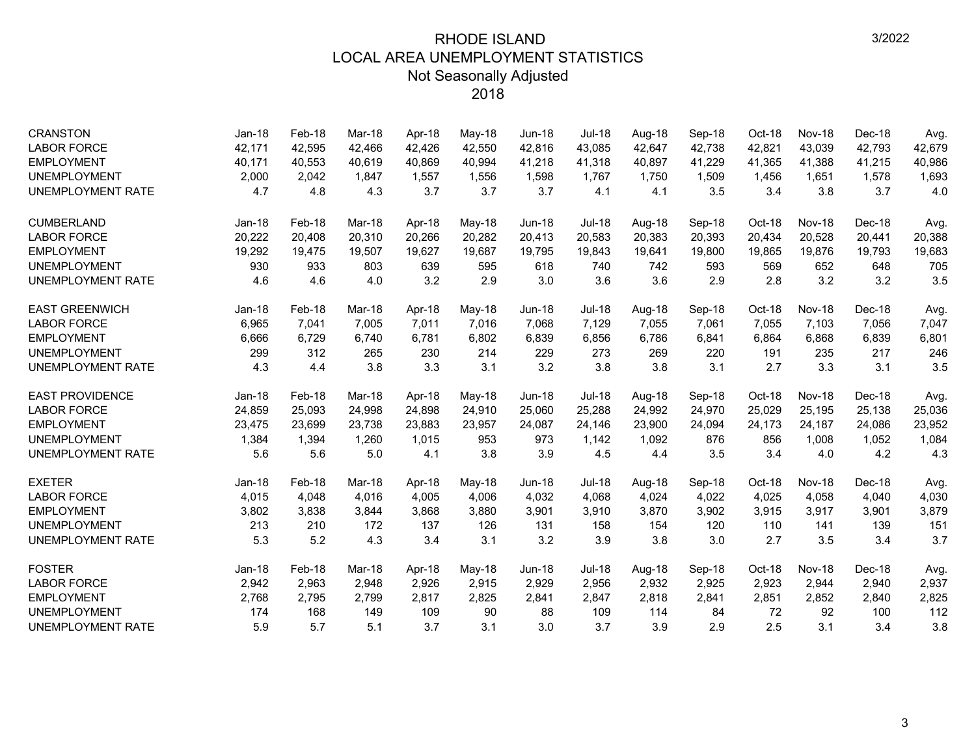| <b>CRANSTON</b>          | $Jan-18$ | Feb-18 | Mar-18 | Apr-18 | May-18   | <b>Jun-18</b> | <b>Jul-18</b> | Aug-18 | Sep-18 | Oct-18 | <b>Nov-18</b> | Dec-18 | Avg.   |
|--------------------------|----------|--------|--------|--------|----------|---------------|---------------|--------|--------|--------|---------------|--------|--------|
| <b>LABOR FORCE</b>       | 42,171   | 42,595 | 42.466 | 42.426 | 42,550   | 42,816        | 43,085        | 42,647 | 42,738 | 42.821 | 43.039        | 42,793 | 42,679 |
| <b>EMPLOYMENT</b>        | 40,171   | 40,553 | 40,619 | 40,869 | 40,994   | 41,218        | 41,318        | 40,897 | 41,229 | 41,365 | 41,388        | 41,215 | 40,986 |
| <b>UNEMPLOYMENT</b>      | 2,000    | 2.042  | 1.847  | 1,557  | 1,556    | 1,598         | 1.767         | 1.750  | 1,509  | 1,456  | 1,651         | 1,578  | 1,693  |
| <b>UNEMPLOYMENT RATE</b> | 4.7      | 4.8    | 4.3    | 3.7    | 3.7      | 3.7           | 4.1           | 4.1    | 3.5    | 3.4    | 3.8           | 3.7    | 4.0    |
| <b>CUMBERLAND</b>        | $Jan-18$ | Feb-18 | Mar-18 | Apr-18 | May-18   | <b>Jun-18</b> | <b>Jul-18</b> | Aug-18 | Sep-18 | Oct-18 | Nov-18        | Dec-18 | Avg.   |
| <b>LABOR FORCE</b>       | 20,222   | 20,408 | 20,310 | 20.266 | 20,282   | 20,413        | 20,583        | 20,383 | 20,393 | 20,434 | 20,528        | 20,441 | 20,388 |
| <b>EMPLOYMENT</b>        | 19,292   | 19,475 | 19,507 | 19,627 | 19,687   | 19,795        | 19,843        | 19,641 | 19,800 | 19,865 | 19,876        | 19,793 | 19,683 |
| <b>UNEMPLOYMENT</b>      | 930      | 933    | 803    | 639    | 595      | 618           | 740           | 742    | 593    | 569    | 652           | 648    | 705    |
| <b>UNEMPLOYMENT RATE</b> | 4.6      | 4.6    | 4.0    | 3.2    | 2.9      | 3.0           | 3.6           | 3.6    | 2.9    | 2.8    | 3.2           | 3.2    | 3.5    |
| <b>EAST GREENWICH</b>    | $Jan-18$ | Feb-18 | Mar-18 | Apr-18 | May-18   | <b>Jun-18</b> | <b>Jul-18</b> | Aug-18 | Sep-18 | Oct-18 | Nov-18        | Dec-18 | Avg.   |
| <b>LABOR FORCE</b>       | 6,965    | 7,041  | 7,005  | 7,011  | 7,016    | 7,068         | 7,129         | 7,055  | 7,061  | 7,055  | 7,103         | 7,056  | 7,047  |
| <b>EMPLOYMENT</b>        | 6,666    | 6,729  | 6,740  | 6,781  | 6,802    | 6,839         | 6,856         | 6,786  | 6,841  | 6,864  | 6,868         | 6,839  | 6,801  |
| <b>UNEMPLOYMENT</b>      | 299      | 312    | 265    | 230    | 214      | 229           | 273           | 269    | 220    | 191    | 235           | 217    | 246    |
| UNEMPLOYMENT RATE        | 4.3      | 4.4    | 3.8    | 3.3    | 3.1      | 3.2           | 3.8           | 3.8    | 3.1    | 2.7    | 3.3           | 3.1    | 3.5    |
| <b>EAST PROVIDENCE</b>   | $Jan-18$ | Feb-18 | Mar-18 | Apr-18 | May-18   | <b>Jun-18</b> | <b>Jul-18</b> | Aug-18 | Sep-18 | Oct-18 | Nov-18        | Dec-18 | Avg.   |
| <b>LABOR FORCE</b>       | 24,859   | 25,093 | 24,998 | 24,898 | 24,910   | 25,060        | 25,288        | 24,992 | 24,970 | 25,029 | 25,195        | 25,138 | 25,036 |
| <b>EMPLOYMENT</b>        | 23,475   | 23,699 | 23,738 | 23,883 | 23,957   | 24,087        | 24,146        | 23,900 | 24,094 | 24,173 | 24,187        | 24,086 | 23,952 |
| <b>UNEMPLOYMENT</b>      | 1,384    | 1,394  | 1,260  | 1,015  | 953      | 973           | 1,142         | 1,092  | 876    | 856    | 1,008         | 1,052  | 1,084  |
| UNEMPLOYMENT RATE        | 5.6      | 5.6    | 5.0    | 4.1    | 3.8      | 3.9           | 4.5           | 4.4    | 3.5    | 3.4    | 4.0           | 4.2    | 4.3    |
| <b>EXETER</b>            | $Jan-18$ | Feb-18 | Mar-18 | Apr-18 | $May-18$ | <b>Jun-18</b> | <b>Jul-18</b> | Aug-18 | Sep-18 | Oct-18 | Nov-18        | Dec-18 | Avg.   |
| <b>LABOR FORCE</b>       | 4,015    | 4,048  | 4,016  | 4,005  | 4,006    | 4,032         | 4,068         | 4,024  | 4,022  | 4,025  | 4,058         | 4,040  | 4,030  |
| <b>EMPLOYMENT</b>        | 3,802    | 3,838  | 3,844  | 3,868  | 3,880    | 3,901         | 3,910         | 3,870  | 3,902  | 3,915  | 3,917         | 3,901  | 3,879  |
| <b>UNEMPLOYMENT</b>      | 213      | 210    | 172    | 137    | 126      | 131           | 158           | 154    | 120    | 110    | 141           | 139    | 151    |
| UNEMPLOYMENT RATE        | 5.3      | 5.2    | 4.3    | 3.4    | 3.1      | 3.2           | 3.9           | 3.8    | 3.0    | 2.7    | 3.5           | 3.4    | 3.7    |
| <b>FOSTER</b>            | $Jan-18$ | Feb-18 | Mar-18 | Apr-18 | May-18   | $Jun-18$      | <b>Jul-18</b> | Aug-18 | Sep-18 | Oct-18 | Nov-18        | Dec-18 | Avg.   |
| <b>LABOR FORCE</b>       | 2,942    | 2,963  | 2,948  | 2,926  | 2,915    | 2,929         | 2,956         | 2,932  | 2,925  | 2,923  | 2,944         | 2,940  | 2,937  |
| <b>EMPLOYMENT</b>        | 2,768    | 2,795  | 2,799  | 2,817  | 2,825    | 2,841         | 2,847         | 2,818  | 2,841  | 2,851  | 2,852         | 2,840  | 2,825  |
| <b>UNEMPLOYMENT</b>      | 174      | 168    | 149    | 109    | 90       | 88            | 109           | 114    | 84     | 72     | 92            | 100    | 112    |
| UNEMPLOYMENT RATE        | 5.9      | 5.7    | 5.1    | 3.7    | 3.1      | 3.0           | 3.7           | 3.9    | 2.9    | 2.5    | 3.1           | 3.4    | 3.8    |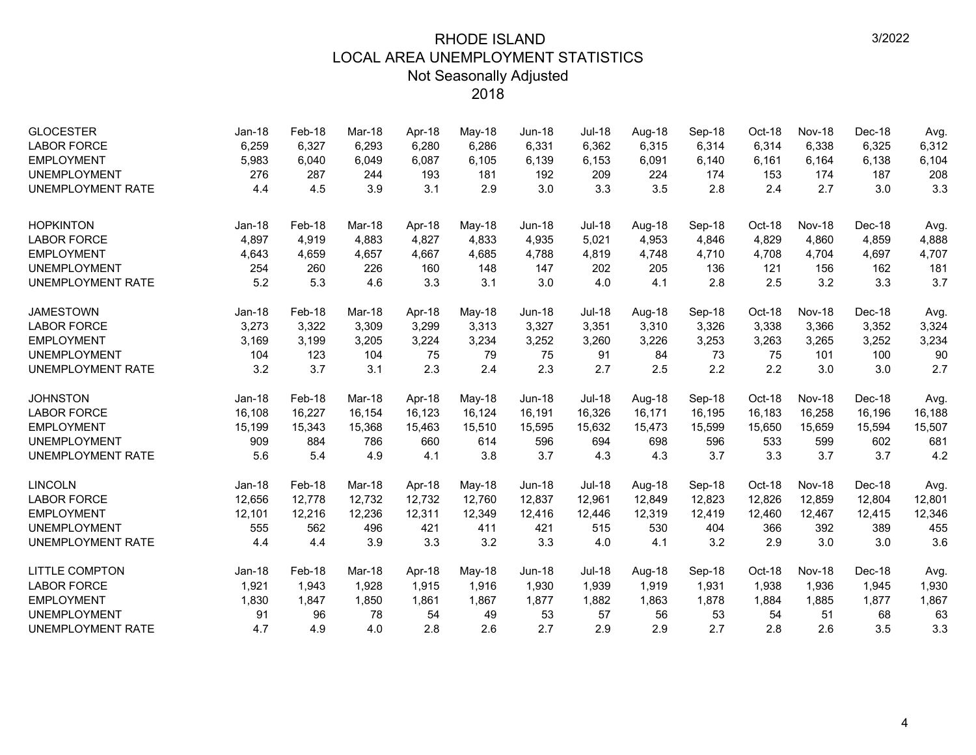| <b>GLOCESTER</b>         | Jan-18   | Feb-18 | Mar-18 | Apr-18 | May-18 | $Jun-18$      | <b>Jul-18</b> | Aug-18 | Sep-18 | Oct-18 | <b>Nov-18</b> | Dec-18 | Avg.   |
|--------------------------|----------|--------|--------|--------|--------|---------------|---------------|--------|--------|--------|---------------|--------|--------|
| <b>LABOR FORCE</b>       | 6,259    | 6,327  | 6,293  | 6,280  | 6,286  | 6,331         | 6,362         | 6,315  | 6,314  | 6,314  | 6,338         | 6,325  | 6,312  |
| <b>EMPLOYMENT</b>        | 5,983    | 6,040  | 6,049  | 6,087  | 6,105  | 6,139         | 6,153         | 6,091  | 6,140  | 6,161  | 6,164         | 6,138  | 6,104  |
| <b>UNEMPLOYMENT</b>      | 276      | 287    | 244    | 193    | 181    | 192           | 209           | 224    | 174    | 153    | 174           | 187    | 208    |
| <b>UNEMPLOYMENT RATE</b> | 4.4      | 4.5    | 3.9    | 3.1    | 2.9    | 3.0           | 3.3           | 3.5    | 2.8    | 2.4    | 2.7           | 3.0    | 3.3    |
| <b>HOPKINTON</b>         | $Jan-18$ | Feb-18 | Mar-18 | Apr-18 | May-18 | $Jun-18$      | <b>Jul-18</b> | Aug-18 | Sep-18 | Oct-18 | Nov-18        | Dec-18 | Avg.   |
| <b>LABOR FORCE</b>       | 4,897    | 4,919  | 4.883  | 4,827  | 4,833  | 4,935         | 5,021         | 4,953  | 4,846  | 4,829  | 4,860         | 4,859  | 4,888  |
| <b>EMPLOYMENT</b>        | 4,643    | 4,659  | 4,657  | 4,667  | 4,685  | 4,788         | 4,819         | 4,748  | 4,710  | 4,708  | 4,704         | 4,697  | 4,707  |
| <b>UNEMPLOYMENT</b>      | 254      | 260    | 226    | 160    | 148    | 147           | 202           | 205    | 136    | 121    | 156           | 162    | 181    |
| <b>UNEMPLOYMENT RATE</b> | 5.2      | 5.3    | 4.6    | 3.3    | 3.1    | 3.0           | 4.0           | 4.1    | 2.8    | 2.5    | 3.2           | 3.3    | 3.7    |
| <b>JAMESTOWN</b>         | Jan-18   | Feb-18 | Mar-18 | Apr-18 | May-18 | <b>Jun-18</b> | <b>Jul-18</b> | Aug-18 | Sep-18 | Oct-18 | Nov-18        | Dec-18 | Avg.   |
| <b>LABOR FORCE</b>       | 3,273    | 3,322  | 3,309  | 3,299  | 3,313  | 3,327         | 3,351         | 3,310  | 3,326  | 3,338  | 3,366         | 3,352  | 3,324  |
| <b>EMPLOYMENT</b>        | 3,169    | 3,199  | 3,205  | 3,224  | 3,234  | 3,252         | 3,260         | 3,226  | 3,253  | 3,263  | 3,265         | 3,252  | 3,234  |
| <b>UNEMPLOYMENT</b>      | 104      | 123    | 104    | 75     | 79     | 75            | 91            | 84     | 73     | 75     | 101           | 100    | 90     |
| <b>UNEMPLOYMENT RATE</b> | 3.2      | 3.7    | 3.1    | 2.3    | 2.4    | 2.3           | 2.7           | 2.5    | 2.2    | 2.2    | 3.0           | 3.0    | 2.7    |
| <b>JOHNSTON</b>          | Jan-18   | Feb-18 | Mar-18 | Apr-18 | May-18 | <b>Jun-18</b> | <b>Jul-18</b> | Aug-18 | Sep-18 | Oct-18 | Nov-18        | Dec-18 | Avg.   |
| <b>LABOR FORCE</b>       | 16,108   | 16,227 | 16,154 | 16,123 | 16,124 | 16,191        | 16,326        | 16,171 | 16,195 | 16,183 | 16,258        | 16,196 | 16,188 |
| <b>EMPLOYMENT</b>        | 15,199   | 15,343 | 15,368 | 15,463 | 15,510 | 15,595        | 15,632        | 15,473 | 15,599 | 15,650 | 15,659        | 15,594 | 15,507 |
| <b>UNEMPLOYMENT</b>      | 909      | 884    | 786    | 660    | 614    | 596           | 694           | 698    | 596    | 533    | 599           | 602    | 681    |
| <b>UNEMPLOYMENT RATE</b> | 5.6      | 5.4    | 4.9    | 4.1    | 3.8    | 3.7           | 4.3           | 4.3    | 3.7    | 3.3    | 3.7           | 3.7    | 4.2    |
| <b>LINCOLN</b>           | $Jan-18$ | Feb-18 | Mar-18 | Apr-18 | May-18 | $Jun-18$      | <b>Jul-18</b> | Aug-18 | Sep-18 | Oct-18 | Nov-18        | Dec-18 | Avg.   |
| <b>LABOR FORCE</b>       | 12,656   | 12,778 | 12.732 | 12,732 | 12,760 | 12,837        | 12,961        | 12,849 | 12,823 | 12,826 | 12.859        | 12,804 | 12,801 |
| <b>EMPLOYMENT</b>        | 12,101   | 12,216 | 12,236 | 12,311 | 12,349 | 12,416        | 12,446        | 12,319 | 12,419 | 12,460 | 12,467        | 12,415 | 12,346 |
| <b>UNEMPLOYMENT</b>      | 555      | 562    | 496    | 421    | 411    | 421           | 515           | 530    | 404    | 366    | 392           | 389    | 455    |
| <b>UNEMPLOYMENT RATE</b> | 4.4      | 4.4    | 3.9    | 3.3    | 3.2    | 3.3           | 4.0           | 4.1    | 3.2    | 2.9    | 3.0           | 3.0    | 3.6    |
| <b>LITTLE COMPTON</b>    | Jan-18   | Feb-18 | Mar-18 | Apr-18 | May-18 | $Jun-18$      | <b>Jul-18</b> | Aug-18 | Sep-18 | Oct-18 | Nov-18        | Dec-18 | Avg.   |
| <b>LABOR FORCE</b>       | 1,921    | 1,943  | 1,928  | 1,915  | 1,916  | 1,930         | 1,939         | 1,919  | 1,931  | 1,938  | 1,936         | 1,945  | 1,930  |
| <b>EMPLOYMENT</b>        | 1,830    | 1,847  | 1,850  | 1,861  | 1,867  | 1,877         | 1,882         | 1,863  | 1,878  | 1,884  | 1,885         | 1,877  | 1,867  |
| <b>UNEMPLOYMENT</b>      | 91       | 96     | 78     | 54     | 49     | 53            | 57            | 56     | 53     | 54     | 51            | 68     | 63     |
| <b>UNEMPLOYMENT RATE</b> | 4.7      | 4.9    | 4.0    | 2.8    | 2.6    | 2.7           | 2.9           | 2.9    | 2.7    | 2.8    | 2.6           | 3.5    | 3.3    |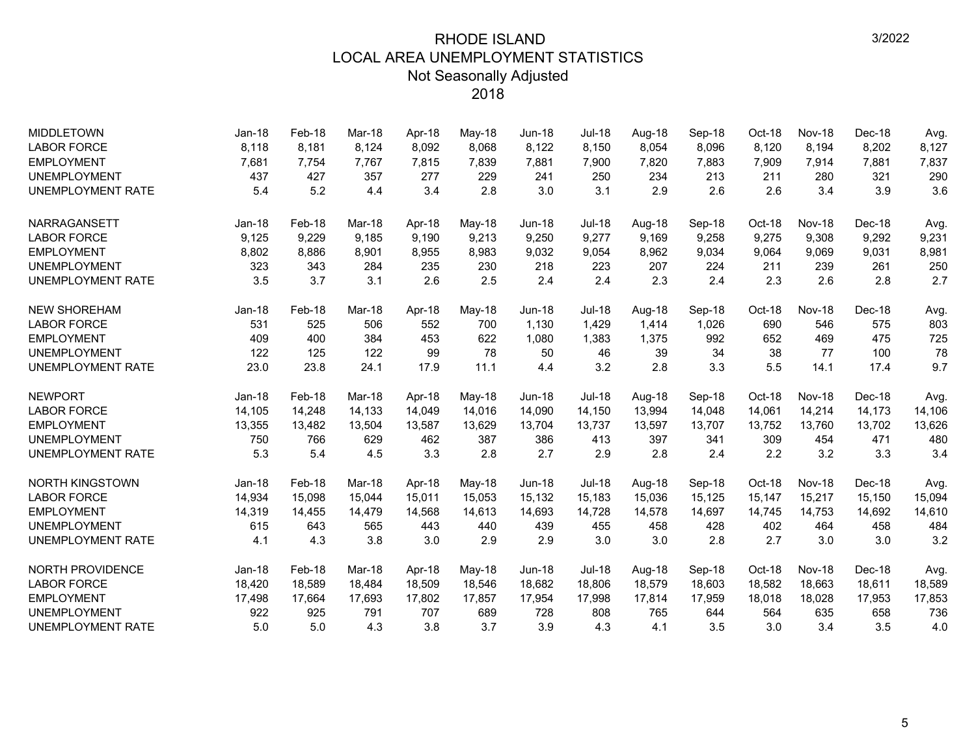| <b>MIDDLETOWN</b>        | $Jan-18$ | Feb-18 | Mar-18 | Apr-18 | May-18 | $Jun-18$      | <b>Jul-18</b> | Aug-18 | Sep-18 | Oct-18 | <b>Nov-18</b> | Dec-18 | Avg.   |
|--------------------------|----------|--------|--------|--------|--------|---------------|---------------|--------|--------|--------|---------------|--------|--------|
| <b>LABOR FORCE</b>       | 8,118    | 8,181  | 8,124  | 8,092  | 8,068  | 8,122         | 8,150         | 8,054  | 8,096  | 8,120  | 8,194         | 8,202  | 8,127  |
| <b>EMPLOYMENT</b>        | 7,681    | 7,754  | 7,767  | 7,815  | 7,839  | 7,881         | 7,900         | 7,820  | 7,883  | 7,909  | 7,914         | 7,881  | 7,837  |
| <b>UNEMPLOYMENT</b>      | 437      | 427    | 357    | 277    | 229    | 241           | 250           | 234    | 213    | 211    | 280           | 321    | 290    |
| <b>UNEMPLOYMENT RATE</b> | 5.4      | 5.2    | 4.4    | 3.4    | 2.8    | 3.0           | 3.1           | 2.9    | 2.6    | 2.6    | 3.4           | 3.9    | 3.6    |
| <b>NARRAGANSETT</b>      | Jan-18   | Feb-18 | Mar-18 | Apr-18 | May-18 | <b>Jun-18</b> | <b>Jul-18</b> | Aug-18 | Sep-18 | Oct-18 | Nov-18        | Dec-18 | Avg.   |
| <b>LABOR FORCE</b>       | 9,125    | 9,229  | 9.185  | 9.190  | 9,213  | 9,250         | 9,277         | 9.169  | 9,258  | 9,275  | 9,308         | 9,292  | 9,231  |
| <b>EMPLOYMENT</b>        | 8,802    | 8,886  | 8,901  | 8,955  | 8,983  | 9,032         | 9,054         | 8,962  | 9,034  | 9,064  | 9,069         | 9,031  | 8,981  |
| <b>UNEMPLOYMENT</b>      | 323      | 343    | 284    | 235    | 230    | 218           | 223           | 207    | 224    | 211    | 239           | 261    | 250    |
| <b>UNEMPLOYMENT RATE</b> | 3.5      | 3.7    | 3.1    | 2.6    | 2.5    | 2.4           | 2.4           | 2.3    | 2.4    | 2.3    | 2.6           | 2.8    | 2.7    |
| <b>NEW SHOREHAM</b>      | Jan-18   | Feb-18 | Mar-18 | Apr-18 | May-18 | $Jun-18$      | <b>Jul-18</b> | Aug-18 | Sep-18 | Oct-18 | Nov-18        | Dec-18 | Avg.   |
| <b>LABOR FORCE</b>       | 531      | 525    | 506    | 552    | 700    | 1,130         | 1,429         | 1,414  | 1,026  | 690    | 546           | 575    | 803    |
| <b>EMPLOYMENT</b>        | 409      | 400    | 384    | 453    | 622    | 1,080         | 1,383         | 1,375  | 992    | 652    | 469           | 475    | 725    |
| <b>UNEMPLOYMENT</b>      | 122      | 125    | 122    | 99     | 78     | 50            | 46            | 39     | 34     | 38     | 77            | 100    | 78     |
| <b>UNEMPLOYMENT RATE</b> | 23.0     | 23.8   | 24.1   | 17.9   | 11.1   | 4.4           | 3.2           | 2.8    | 3.3    | 5.5    | 14.1          | 17.4   | 9.7    |
| <b>NEWPORT</b>           | $Jan-18$ | Feb-18 | Mar-18 | Apr-18 | May-18 | <b>Jun-18</b> | <b>Jul-18</b> | Aug-18 | Sep-18 | Oct-18 | Nov-18        | Dec-18 | Avg.   |
| <b>LABOR FORCE</b>       | 14,105   | 14,248 | 14,133 | 14,049 | 14,016 | 14,090        | 14,150        | 13,994 | 14,048 | 14,061 | 14,214        | 14,173 | 14,106 |
| <b>EMPLOYMENT</b>        | 13,355   | 13,482 | 13,504 | 13,587 | 13,629 | 13,704        | 13,737        | 13,597 | 13,707 | 13,752 | 13,760        | 13,702 | 13,626 |
| <b>UNEMPLOYMENT</b>      | 750      | 766    | 629    | 462    | 387    | 386           | 413           | 397    | 341    | 309    | 454           | 471    | 480    |
| <b>UNEMPLOYMENT RATE</b> | 5.3      | 5.4    | 4.5    | 3.3    | 2.8    | 2.7           | 2.9           | 2.8    | 2.4    | 2.2    | 3.2           | 3.3    | 3.4    |
| <b>NORTH KINGSTOWN</b>   | $Jan-18$ | Feb-18 | Mar-18 | Apr-18 | May-18 | <b>Jun-18</b> | <b>Jul-18</b> | Aug-18 | Sep-18 | Oct-18 | Nov-18        | Dec-18 | Avg.   |
| <b>LABOR FORCE</b>       | 14,934   | 15,098 | 15,044 | 15,011 | 15,053 | 15,132        | 15,183        | 15,036 | 15,125 | 15,147 | 15,217        | 15,150 | 15,094 |
| <b>EMPLOYMENT</b>        | 14,319   | 14,455 | 14,479 | 14,568 | 14,613 | 14,693        | 14,728        | 14,578 | 14,697 | 14,745 | 14,753        | 14,692 | 14,610 |
| <b>UNEMPLOYMENT</b>      | 615      | 643    | 565    | 443    | 440    | 439           | 455           | 458    | 428    | 402    | 464           | 458    | 484    |
| <b>UNEMPLOYMENT RATE</b> | 4.1      | 4.3    | 3.8    | 3.0    | 2.9    | 2.9           | 3.0           | 3.0    | 2.8    | 2.7    | 3.0           | 3.0    | 3.2    |
| NORTH PROVIDENCE         | $Jan-18$ | Feb-18 | Mar-18 | Apr-18 | May-18 | <b>Jun-18</b> | <b>Jul-18</b> | Aug-18 | Sep-18 | Oct-18 | Nov-18        | Dec-18 | Avg.   |
| <b>LABOR FORCE</b>       | 18,420   | 18,589 | 18,484 | 18,509 | 18,546 | 18,682        | 18,806        | 18,579 | 18,603 | 18,582 | 18,663        | 18,611 | 18,589 |
| <b>EMPLOYMENT</b>        | 17,498   | 17,664 | 17,693 | 17,802 | 17,857 | 17,954        | 17,998        | 17,814 | 17,959 | 18,018 | 18,028        | 17,953 | 17,853 |
| <b>UNEMPLOYMENT</b>      | 922      | 925    | 791    | 707    | 689    | 728           | 808           | 765    | 644    | 564    | 635           | 658    | 736    |
| <b>UNEMPLOYMENT RATE</b> | 5.0      | 5.0    | 4.3    | 3.8    | 3.7    | 3.9           | 4.3           | 4.1    | 3.5    | 3.0    | 3.4           | 3.5    | 4.0    |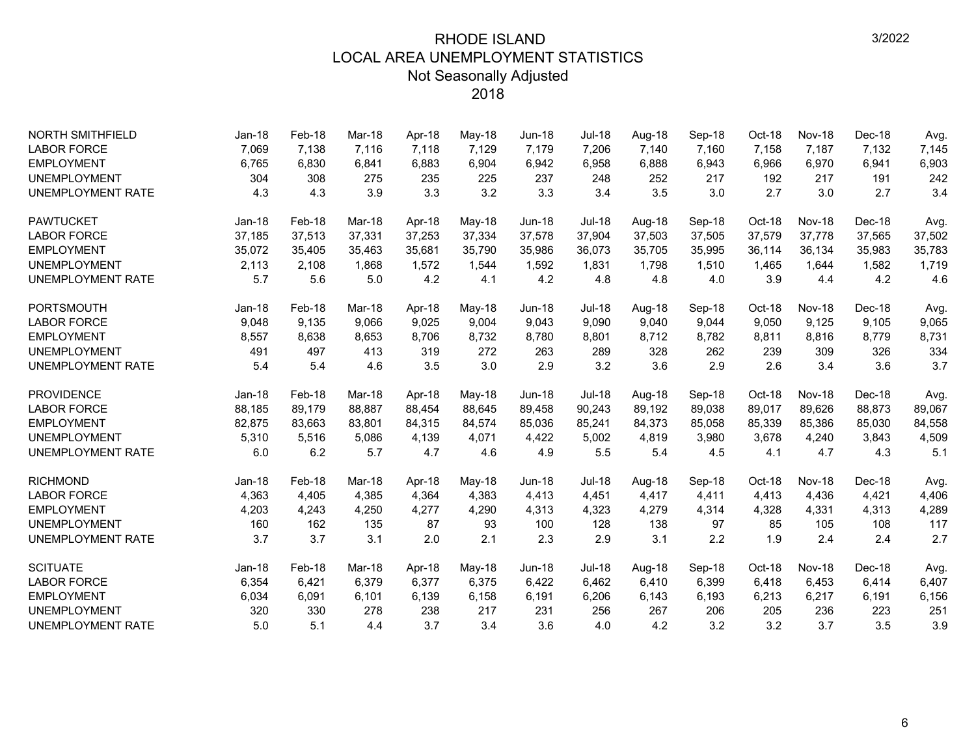| <b>NORTH SMITHFIELD</b>  | Jan-18   | Feb-18 | Mar-18 | Apr-18 | May-18 | <b>Jun-18</b> | <b>Jul-18</b> | Aug-18 | Sep-18 | Oct-18 | Nov-18        | Dec-18 | Avg.   |
|--------------------------|----------|--------|--------|--------|--------|---------------|---------------|--------|--------|--------|---------------|--------|--------|
| <b>LABOR FORCE</b>       | 7,069    | 7,138  | 7.116  | 7.118  | 7,129  | 7,179         | 7,206         | 7,140  | 7.160  | 7,158  | 7,187         | 7,132  | 7,145  |
| <b>EMPLOYMENT</b>        | 6,765    | 6,830  | 6,841  | 6,883  | 6,904  | 6,942         | 6,958         | 6,888  | 6,943  | 6,966  | 6,970         | 6,941  | 6,903  |
| <b>UNEMPLOYMENT</b>      | 304      | 308    | 275    | 235    | 225    | 237           | 248           | 252    | 217    | 192    | 217           | 191    | 242    |
| <b>UNEMPLOYMENT RATE</b> | 4.3      | 4.3    | 3.9    | 3.3    | 3.2    | 3.3           | 3.4           | 3.5    | 3.0    | 2.7    | 3.0           | 2.7    | 3.4    |
| <b>PAWTUCKET</b>         | $Jan-18$ | Feb-18 | Mar-18 | Apr-18 | May-18 | $Jun-18$      | <b>Jul-18</b> | Aug-18 | Sep-18 | Oct-18 | Nov-18        | Dec-18 | Avg.   |
| <b>LABOR FORCE</b>       | 37,185   | 37,513 | 37,331 | 37,253 | 37,334 | 37,578        | 37,904        | 37,503 | 37,505 | 37,579 | 37,778        | 37,565 | 37,502 |
| <b>EMPLOYMENT</b>        | 35,072   | 35,405 | 35,463 | 35,681 | 35,790 | 35,986        | 36,073        | 35,705 | 35,995 | 36,114 | 36,134        | 35,983 | 35,783 |
| <b>UNEMPLOYMENT</b>      | 2,113    | 2,108  | 1,868  | 1,572  | 1,544  | 1,592         | 1,831         | 1,798  | 1,510  | 1,465  | 1,644         | 1,582  | 1,719  |
| <b>UNEMPLOYMENT RATE</b> | 5.7      | 5.6    | 5.0    | 4.2    | 4.1    | 4.2           | 4.8           | 4.8    | 4.0    | 3.9    | 4.4           | 4.2    | 4.6    |
| <b>PORTSMOUTH</b>        | Jan-18   | Feb-18 | Mar-18 | Apr-18 | May-18 | $Jun-18$      | <b>Jul-18</b> | Aug-18 | Sep-18 | Oct-18 | Nov-18        | Dec-18 | Avg.   |
| <b>LABOR FORCE</b>       | 9,048    | 9,135  | 9,066  | 9,025  | 9,004  | 9,043         | 9,090         | 9,040  | 9,044  | 9,050  | 9,125         | 9,105  | 9,065  |
| <b>EMPLOYMENT</b>        | 8,557    | 8,638  | 8,653  | 8,706  | 8,732  | 8,780         | 8,801         | 8,712  | 8,782  | 8,811  | 8,816         | 8,779  | 8,731  |
| <b>UNEMPLOYMENT</b>      | 491      | 497    | 413    | 319    | 272    | 263           | 289           | 328    | 262    | 239    | 309           | 326    | 334    |
| <b>UNEMPLOYMENT RATE</b> | 5.4      | 5.4    | 4.6    | 3.5    | 3.0    | 2.9           | 3.2           | 3.6    | 2.9    | 2.6    | 3.4           | 3.6    | 3.7    |
| <b>PROVIDENCE</b>        | Jan-18   | Feb-18 | Mar-18 | Apr-18 | May-18 | <b>Jun-18</b> | <b>Jul-18</b> | Aug-18 | Sep-18 | Oct-18 | <b>Nov-18</b> | Dec-18 | Avg.   |
| <b>LABOR FORCE</b>       | 88,185   | 89,179 | 88,887 | 88,454 | 88,645 | 89,458        | 90,243        | 89,192 | 89,038 | 89,017 | 89,626        | 88,873 | 89,067 |
| <b>EMPLOYMENT</b>        | 82,875   | 83,663 | 83,801 | 84,315 | 84,574 | 85,036        | 85,241        | 84,373 | 85,058 | 85,339 | 85,386        | 85,030 | 84,558 |
| <b>UNEMPLOYMENT</b>      | 5,310    | 5,516  | 5,086  | 4,139  | 4,071  | 4,422         | 5,002         | 4,819  | 3,980  | 3,678  | 4,240         | 3,843  | 4,509  |
| <b>UNEMPLOYMENT RATE</b> | 6.0      | 6.2    | 5.7    | 4.7    | 4.6    | 4.9           | 5.5           | 5.4    | 4.5    | 4.1    | 4.7           | 4.3    | 5.1    |
| <b>RICHMOND</b>          | Jan-18   | Feb-18 | Mar-18 | Apr-18 | May-18 | <b>Jun-18</b> | <b>Jul-18</b> | Aug-18 | Sep-18 | Oct-18 | Nov-18        | Dec-18 | Avg.   |
| <b>LABOR FORCE</b>       | 4,363    | 4,405  | 4,385  | 4,364  | 4,383  | 4,413         | 4,451         | 4,417  | 4,411  | 4,413  | 4,436         | 4,421  | 4,406  |
| <b>EMPLOYMENT</b>        | 4,203    | 4,243  | 4,250  | 4,277  | 4,290  | 4,313         | 4,323         | 4,279  | 4,314  | 4,328  | 4,331         | 4,313  | 4,289  |
| <b>UNEMPLOYMENT</b>      | 160      | 162    | 135    | 87     | 93     | 100           | 128           | 138    | 97     | 85     | 105           | 108    | 117    |
| <b>UNEMPLOYMENT RATE</b> | 3.7      | 3.7    | 3.1    | 2.0    | 2.1    | 2.3           | 2.9           | 3.1    | 2.2    | 1.9    | 2.4           | 2.4    | 2.7    |
| <b>SCITUATE</b>          | $Jan-18$ | Feb-18 | Mar-18 | Apr-18 | May-18 | <b>Jun-18</b> | <b>Jul-18</b> | Aug-18 | Sep-18 | Oct-18 | Nov-18        | Dec-18 | Avg.   |
| <b>LABOR FORCE</b>       | 6,354    | 6,421  | 6,379  | 6,377  | 6,375  | 6,422         | 6,462         | 6,410  | 6,399  | 6,418  | 6,453         | 6,414  | 6,407  |
| <b>EMPLOYMENT</b>        | 6,034    | 6,091  | 6,101  | 6,139  | 6,158  | 6,191         | 6,206         | 6,143  | 6,193  | 6,213  | 6,217         | 6,191  | 6,156  |
| <b>UNEMPLOYMENT</b>      | 320      | 330    | 278    | 238    | 217    | 231           | 256           | 267    | 206    | 205    | 236           | 223    | 251    |
| <b>UNEMPLOYMENT RATE</b> | 5.0      | 5.1    | 4.4    | 3.7    | 3.4    | 3.6           | 4.0           | 4.2    | 3.2    | 3.2    | 3.7           | 3.5    | 3.9    |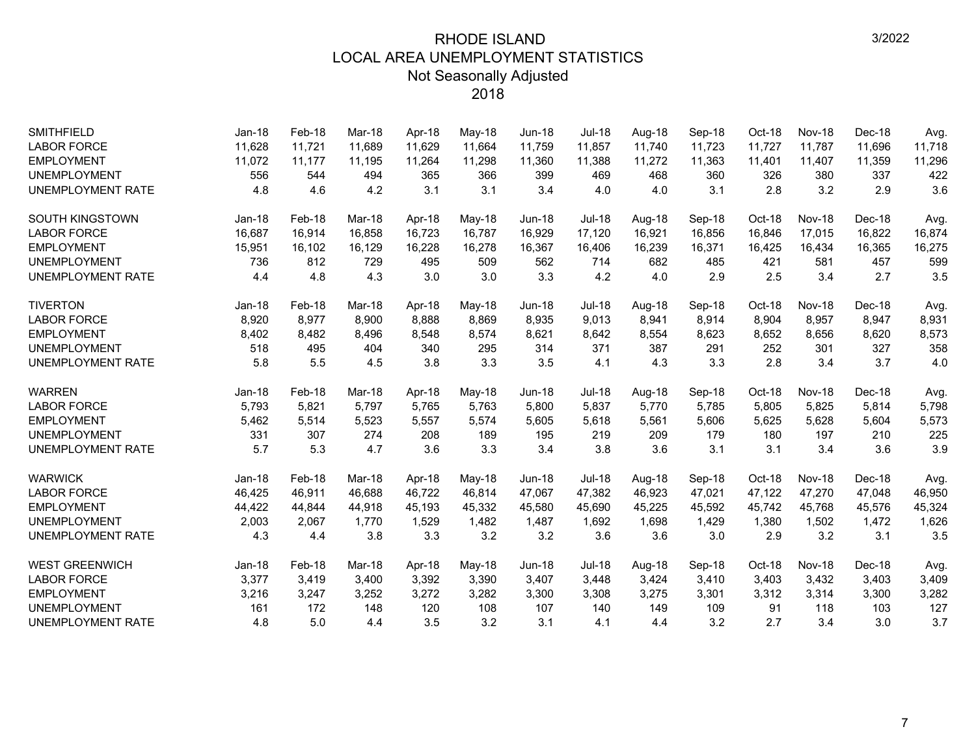| <b>SMITHFIELD</b>        | $Jan-18$ | Feb-18 | Mar-18 | Apr-18 | May-18 | <b>Jun-18</b> | Jul-18        | Aug-18 | Sep-18 | Oct-18 | <b>Nov-18</b> | Dec-18 | Avg.   |
|--------------------------|----------|--------|--------|--------|--------|---------------|---------------|--------|--------|--------|---------------|--------|--------|
| <b>LABOR FORCE</b>       | 11,628   | 11,721 | 11,689 | 11,629 | 11,664 | 11,759        | 11,857        | 11,740 | 11,723 | 11,727 | 11,787        | 11,696 | 11,718 |
| <b>EMPLOYMENT</b>        | 11,072   | 11,177 | 11,195 | 11,264 | 11,298 | 11,360        | 11,388        | 11,272 | 11,363 | 11,401 | 11,407        | 11,359 | 11,296 |
| <b>UNEMPLOYMENT</b>      | 556      | 544    | 494    | 365    | 366    | 399           | 469           | 468    | 360    | 326    | 380           | 337    | 422    |
| <b>UNEMPLOYMENT RATE</b> | 4.8      | 4.6    | 4.2    | 3.1    | 3.1    | 3.4           | 4.0           | 4.0    | 3.1    | 2.8    | 3.2           | 2.9    | 3.6    |
| <b>SOUTH KINGSTOWN</b>   | $Jan-18$ | Feb-18 | Mar-18 | Apr-18 | May-18 | <b>Jun-18</b> | <b>Jul-18</b> | Aug-18 | Sep-18 | Oct-18 | Nov-18        | Dec-18 | Avg.   |
| <b>LABOR FORCE</b>       | 16,687   | 16,914 | 16,858 | 16,723 | 16,787 | 16,929        | 17,120        | 16,921 | 16,856 | 16,846 | 17,015        | 16,822 | 16,874 |
| <b>EMPLOYMENT</b>        | 15,951   | 16,102 | 16,129 | 16,228 | 16,278 | 16,367        | 16,406        | 16,239 | 16,371 | 16,425 | 16,434        | 16,365 | 16,275 |
| <b>UNEMPLOYMENT</b>      | 736      | 812    | 729    | 495    | 509    | 562           | 714           | 682    | 485    | 421    | 581           | 457    | 599    |
| <b>UNEMPLOYMENT RATE</b> | 4.4      | 4.8    | 4.3    | 3.0    | 3.0    | 3.3           | 4.2           | 4.0    | 2.9    | 2.5    | 3.4           | 2.7    | 3.5    |
| <b>TIVERTON</b>          | Jan-18   | Feb-18 | Mar-18 | Apr-18 | May-18 | <b>Jun-18</b> | <b>Jul-18</b> | Aug-18 | Sep-18 | Oct-18 | <b>Nov-18</b> | Dec-18 | Avg.   |
| <b>LABOR FORCE</b>       | 8,920    | 8,977  | 8,900  | 8,888  | 8,869  | 8,935         | 9,013         | 8,941  | 8,914  | 8,904  | 8,957         | 8,947  | 8,931  |
| <b>EMPLOYMENT</b>        | 8,402    | 8,482  | 8,496  | 8,548  | 8,574  | 8,621         | 8,642         | 8,554  | 8,623  | 8,652  | 8,656         | 8,620  | 8,573  |
| <b>UNEMPLOYMENT</b>      | 518      | 495    | 404    | 340    | 295    | 314           | 371           | 387    | 291    | 252    | 301           | 327    | 358    |
| <b>UNEMPLOYMENT RATE</b> | 5.8      | 5.5    | 4.5    | 3.8    | 3.3    | 3.5           | 4.1           | 4.3    | 3.3    | 2.8    | 3.4           | 3.7    | 4.0    |
| <b>WARREN</b>            | Jan-18   | Feb-18 | Mar-18 | Apr-18 | May-18 | <b>Jun-18</b> | <b>Jul-18</b> | Aug-18 | Sep-18 | Oct-18 | Nov-18        | Dec-18 | Avg.   |
| <b>LABOR FORCE</b>       | 5,793    | 5,821  | 5,797  | 5,765  | 5,763  | 5,800         | 5,837         | 5.770  | 5,785  | 5,805  | 5,825         | 5,814  | 5,798  |
| <b>EMPLOYMENT</b>        | 5,462    | 5,514  | 5,523  | 5,557  | 5,574  | 5,605         | 5,618         | 5,561  | 5,606  | 5,625  | 5,628         | 5,604  | 5,573  |
| <b>UNEMPLOYMENT</b>      | 331      | 307    | 274    | 208    | 189    | 195           | 219           | 209    | 179    | 180    | 197           | 210    | 225    |
| <b>UNEMPLOYMENT RATE</b> | 5.7      | 5.3    | 4.7    | 3.6    | 3.3    | 3.4           | 3.8           | 3.6    | 3.1    | 3.1    | 3.4           | 3.6    | 3.9    |
| <b>WARWICK</b>           | $Jan-18$ | Feb-18 | Mar-18 | Apr-18 | May-18 | <b>Jun-18</b> | <b>Jul-18</b> | Aug-18 | Sep-18 | Oct-18 | Nov-18        | Dec-18 | Avg.   |
| <b>LABOR FORCE</b>       | 46,425   | 46,911 | 46,688 | 46,722 | 46,814 | 47,067        | 47,382        | 46,923 | 47,021 | 47,122 | 47,270        | 47,048 | 46,950 |
| <b>EMPLOYMENT</b>        | 44,422   | 44,844 | 44,918 | 45,193 | 45,332 | 45,580        | 45,690        | 45,225 | 45,592 | 45,742 | 45,768        | 45,576 | 45,324 |
| <b>UNEMPLOYMENT</b>      | 2,003    | 2,067  | 1,770  | 1,529  | 1,482  | 1,487         | 1,692         | 1,698  | 1,429  | 1,380  | 1,502         | 1,472  | 1,626  |
| <b>UNEMPLOYMENT RATE</b> | 4.3      | 4.4    | 3.8    | 3.3    | 3.2    | 3.2           | 3.6           | 3.6    | 3.0    | 2.9    | 3.2           | 3.1    | 3.5    |
| <b>WEST GREENWICH</b>    | Jan-18   | Feb-18 | Mar-18 | Apr-18 | May-18 | <b>Jun-18</b> | <b>Jul-18</b> | Aug-18 | Sep-18 | Oct-18 | <b>Nov-18</b> | Dec-18 | Avg.   |
| <b>LABOR FORCE</b>       | 3,377    | 3,419  | 3,400  | 3,392  | 3,390  | 3,407         | 3,448         | 3,424  | 3,410  | 3,403  | 3,432         | 3,403  | 3,409  |
| <b>EMPLOYMENT</b>        | 3,216    | 3,247  | 3,252  | 3,272  | 3,282  | 3,300         | 3,308         | 3,275  | 3,301  | 3,312  | 3,314         | 3,300  | 3,282  |
| <b>UNEMPLOYMENT</b>      | 161      | 172    | 148    | 120    | 108    | 107           | 140           | 149    | 109    | 91     | 118           | 103    | 127    |
| <b>UNEMPLOYMENT RATE</b> | 4.8      | 5.0    | 4.4    | 3.5    | 3.2    | 3.1           | 4.1           | 4.4    | 3.2    | 2.7    | 3.4           | 3.0    | 3.7    |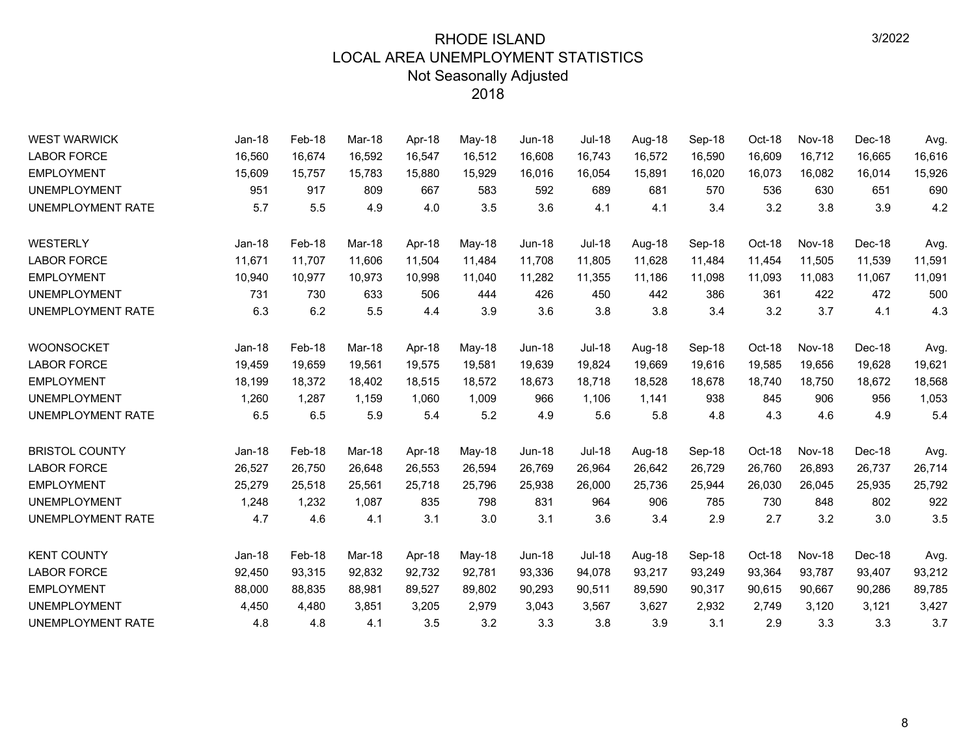| <b>WEST WARWICK</b>      | Jan-18   | Feb-18 | Mar-18 | Apr-18 | May-18 | <b>Jun-18</b> | <b>Jul-18</b> | Aug-18 | Sep-18 | Oct-18 | <b>Nov-18</b> | Dec-18 | Avg.   |
|--------------------------|----------|--------|--------|--------|--------|---------------|---------------|--------|--------|--------|---------------|--------|--------|
| <b>LABOR FORCE</b>       | 16,560   | 16,674 | 16,592 | 16,547 | 16,512 | 16,608        | 16,743        | 16,572 | 16,590 | 16,609 | 16,712        | 16,665 | 16,616 |
| <b>EMPLOYMENT</b>        | 15,609   | 15,757 | 15,783 | 15,880 | 15,929 | 16,016        | 16,054        | 15,891 | 16,020 | 16,073 | 16,082        | 16,014 | 15,926 |
| <b>UNEMPLOYMENT</b>      | 951      | 917    | 809    | 667    | 583    | 592           | 689           | 681    | 570    | 536    | 630           | 651    | 690    |
| <b>UNEMPLOYMENT RATE</b> | 5.7      | 5.5    | 4.9    | 4.0    | 3.5    | 3.6           | 4.1           | 4.1    | 3.4    | 3.2    | 3.8           | 3.9    | 4.2    |
| <b>WESTERLY</b>          | $Jan-18$ | Feb-18 | Mar-18 | Apr-18 | May-18 | <b>Jun-18</b> | <b>Jul-18</b> | Aug-18 | Sep-18 | Oct-18 | <b>Nov-18</b> | Dec-18 | Avg.   |
| <b>LABOR FORCE</b>       | 11,671   | 11,707 | 11,606 | 11,504 | 11,484 | 11,708        | 11,805        | 11,628 | 11,484 | 11,454 | 11,505        | 11,539 | 11,591 |
| <b>EMPLOYMENT</b>        | 10,940   | 10,977 | 10,973 | 10,998 | 11,040 | 11,282        | 11,355        | 11,186 | 11,098 | 11,093 | 11,083        | 11,067 | 11,091 |
| <b>UNEMPLOYMENT</b>      | 731      | 730    | 633    | 506    | 444    | 426           | 450           | 442    | 386    | 361    | 422           | 472    | 500    |
| UNEMPLOYMENT RATE        | 6.3      | 6.2    | 5.5    | 4.4    | 3.9    | 3.6           | 3.8           | 3.8    | 3.4    | 3.2    | 3.7           | 4.1    | 4.3    |
| <b>WOONSOCKET</b>        | $Jan-18$ | Feb-18 | Mar-18 | Apr-18 | May-18 | <b>Jun-18</b> | <b>Jul-18</b> | Aug-18 | Sep-18 | Oct-18 | <b>Nov-18</b> | Dec-18 | Avg.   |
| <b>LABOR FORCE</b>       | 19,459   | 19,659 | 19,561 | 19,575 | 19,581 | 19,639        | 19,824        | 19,669 | 19,616 | 19,585 | 19,656        | 19,628 | 19,621 |
| <b>EMPLOYMENT</b>        | 18,199   | 18,372 | 18,402 | 18,515 | 18,572 | 18,673        | 18,718        | 18,528 | 18,678 | 18,740 | 18,750        | 18,672 | 18,568 |
| <b>UNEMPLOYMENT</b>      | 1,260    | 1,287  | 1,159  | 1,060  | 1,009  | 966           | 1,106         | 1,141  | 938    | 845    | 906           | 956    | 1,053  |
| UNEMPLOYMENT RATE        | 6.5      | 6.5    | 5.9    | 5.4    | 5.2    | 4.9           | 5.6           | 5.8    | 4.8    | 4.3    | 4.6           | 4.9    | 5.4    |
| <b>BRISTOL COUNTY</b>    | $Jan-18$ | Feb-18 | Mar-18 | Apr-18 | May-18 | <b>Jun-18</b> | <b>Jul-18</b> | Aug-18 | Sep-18 | Oct-18 | <b>Nov-18</b> | Dec-18 | Avg.   |
| <b>LABOR FORCE</b>       | 26,527   | 26,750 | 26,648 | 26,553 | 26,594 | 26,769        | 26,964        | 26,642 | 26,729 | 26,760 | 26,893        | 26,737 | 26,714 |
| <b>EMPLOYMENT</b>        | 25,279   | 25,518 | 25,561 | 25,718 | 25,796 | 25,938        | 26,000        | 25,736 | 25,944 | 26,030 | 26,045        | 25,935 | 25,792 |
| <b>UNEMPLOYMENT</b>      | 1,248    | 1,232  | 1,087  | 835    | 798    | 831           | 964           | 906    | 785    | 730    | 848           | 802    | 922    |
| UNEMPLOYMENT RATE        | 4.7      | 4.6    | 4.1    | 3.1    | 3.0    | 3.1           | 3.6           | 3.4    | 2.9    | 2.7    | 3.2           | 3.0    | 3.5    |
| <b>KENT COUNTY</b>       | $Jan-18$ | Feb-18 | Mar-18 | Apr-18 | May-18 | <b>Jun-18</b> | <b>Jul-18</b> | Aug-18 | Sep-18 | Oct-18 | Nov-18        | Dec-18 | Avg.   |
| <b>LABOR FORCE</b>       | 92,450   | 93,315 | 92,832 | 92,732 | 92,781 | 93,336        | 94,078        | 93,217 | 93,249 | 93,364 | 93,787        | 93,407 | 93,212 |
| <b>EMPLOYMENT</b>        | 88,000   | 88,835 | 88,981 | 89,527 | 89,802 | 90,293        | 90,511        | 89,590 | 90,317 | 90,615 | 90,667        | 90,286 | 89,785 |
| <b>UNEMPLOYMENT</b>      | 4,450    | 4,480  | 3,851  | 3,205  | 2,979  | 3,043         | 3,567         | 3,627  | 2,932  | 2,749  | 3,120         | 3,121  | 3,427  |
| UNEMPLOYMENT RATE        | 4.8      | 4.8    | 4.1    | 3.5    | 3.2    | 3.3           | 3.8           | 3.9    | 3.1    | 2.9    | 3.3           | 3.3    | 3.7    |